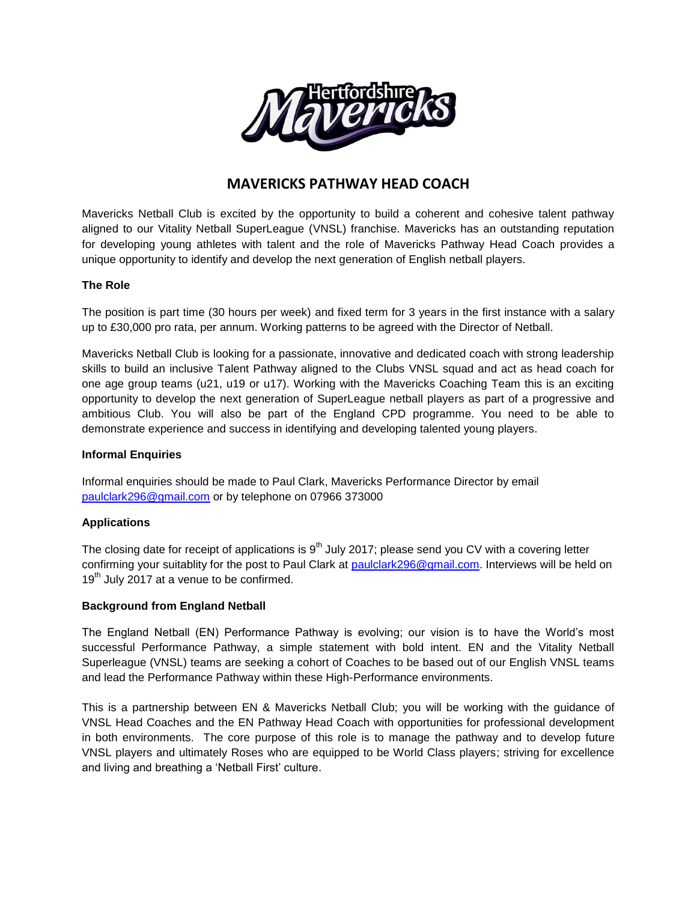

# **MAVERICKS PATHWAY HEAD COACH**

Mavericks Netball Club is excited by the opportunity to build a coherent and cohesive talent pathway aligned to our Vitality Netball SuperLeague (VNSL) franchise. Mavericks has an outstanding reputation for developing young athletes with talent and the role of Mavericks Pathway Head Coach provides a unique opportunity to identify and develop the next generation of English netball players.

# **The Role**

The position is part time (30 hours per week) and fixed term for 3 years in the first instance with a salary up to £30,000 pro rata, per annum. Working patterns to be agreed with the Director of Netball.

Mavericks Netball Club is looking for a passionate, innovative and dedicated coach with strong leadership skills to build an inclusive Talent Pathway aligned to the Clubs VNSL squad and act as head coach for one age group teams (u21, u19 or u17). Working with the Mavericks Coaching Team this is an exciting opportunity to develop the next generation of SuperLeague netball players as part of a progressive and ambitious Club. You will also be part of the England CPD programme. You need to be able to demonstrate experience and success in identifying and developing talented young players.

#### **Informal Enquiries**

Informal enquiries should be made to Paul Clark, Mavericks Performance Director by email [paulclark296@gmail.com](mailto:paulclark296@gmail.com) or by telephone on 07966 373000

## **Applications**

The closing date for receipt of applications is  $9<sup>th</sup>$  July 2017; please send you CV with a covering letter confirming your suitablity for the post to Paul Clark at [paulclark296@gmail.com.](mailto:paulclark296@gmail.com) Interviews will be held on  $19<sup>th</sup>$  July 2017 at a venue to be confirmed.

## **Background from England Netball**

The England Netball (EN) Performance Pathway is evolving; our vision is to have the World's most successful Performance Pathway, a simple statement with bold intent. EN and the Vitality Netball Superleague (VNSL) teams are seeking a cohort of Coaches to be based out of our English VNSL teams and lead the Performance Pathway within these High-Performance environments.

This is a partnership between EN & Mavericks Netball Club; you will be working with the guidance of VNSL Head Coaches and the EN Pathway Head Coach with opportunities for professional development in both environments. The core purpose of this role is to manage the pathway and to develop future VNSL players and ultimately Roses who are equipped to be World Class players; striving for excellence and living and breathing a 'Netball First' culture.